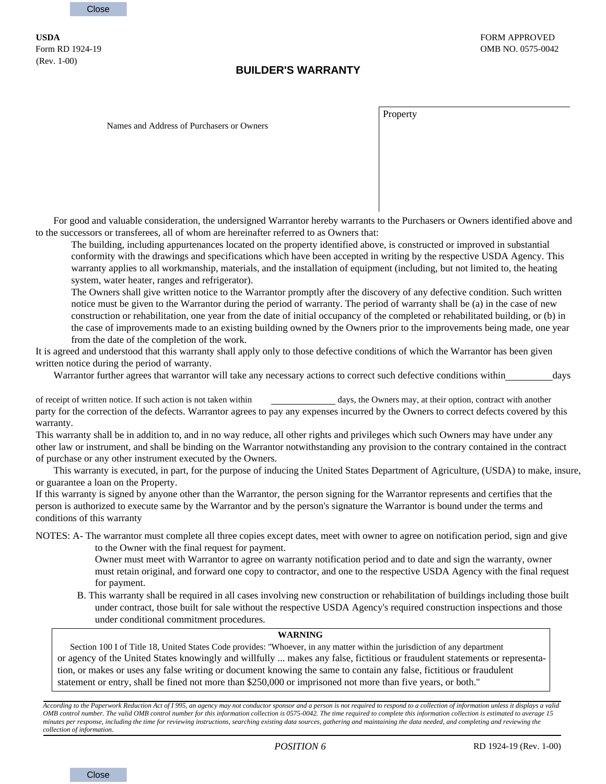(Rev. 1-00)

## **BUILDER'S WARRANTY**

Property

Names and Address of Purchasers or Owners

For good and valuable consideration, the undersigned Warrantor hereby warrants to the Purchasers or Owners identified above and to the successors or transferees, all of whom are hereinafter referred to as Owners that:

The building, including appurtenances located on the property identified above, is constructed or improved in substantial conformity with the drawings and specifications which have been accepted in writing by the respective USDA Agency. This warranty applies to all workmanship, materials, and the installation of equipment (including, but not limited to, the heating system, water heater, ranges and refrigerator).

The Owners shall give written notice to the Warrantor promptly after the discovery of any defective condition. Such written notice must be given to the Warrantor during the period of warranty. The period of warranty shall be (a) in the case of new construction or rehabilitation, one year from the date of initial occupancy of the completed or rehabilitated building, or (b) in the case of improvements made to an existing building owned by the Owners prior to the improvements being made, one year from the date of the completion of the work.

It is agreed and understood that this warranty shall apply only to those defective conditions of which the Warrantor has been given written notice during the period of warranty.

Warrantor further agrees that warrantor will take any necessary actions to correct such defective conditions within days

of receipt of written notice. If such action is not taken within days, the Owners may, at their option, contract with another party for the correction of the defects. Warrantor agrees to pay any expenses incurred by the Owners to correct defects covered by this warranty.

This warranty shall be in addition to, and in no way reduce, all other rights and privileges which such Owners may have under any other law or instrument, and shall be binding on the Warrantor notwithstanding any provision to the contrary contained in the contract of purchase or any other instrument executed by the Owners.

This warranty is executed, in part, for the purpose of inducing the United States Department of Agriculture, (USDA) to make, insure, or guarantee a loan on the Property.

If this warranty is signed by anyone other than the Warrantor, the person signing for the Warrantor represents and certifies that the person is authorized to execute same by the Warrantor and by the person's signature the Warrantor is bound under the terms and conditions of this warranty

NOTES: A- The warrantor must complete all three copies except dates, meet with owner to agree on notification period, sign and give to the Owner with the final request for payment.

> Owner must meet with Warrantor to agree on warranty notification period and to date and sign the warranty, owner must retain original, and forward one copy to contractor, and one to the respective USDA Agency with the final request for payment.

B. This warranty shall be required in all cases involving new construction or rehabilitation of buildings including those built under contract, those built for sale without the respective USDA Agency's required construction inspections and those under conditional commitment procedures.

## **WARNING**

Section 100 I of Title 18, United States Code provides: ''Whoever, in any matter within the jurisdiction of any department or agency of the United States knowingly and willfully ... makes any false, fictitious or fraudulent statements or representation, or makes or uses any false writing or document knowing the same to contain any false, fictitious or fraudulent statement or entry, shall be fined not more than \$250,000 or imprisoned not more than five years, or both.''

*According to the Paperwork Reduction Act of I 995, an agency may not conductor sponsor and a person is not required to respond to a collection of information unless it displays a valid OMB control number. The valid OMB control number for this information collection is 0575-0042. The time required to complete this information collection is estimated to average 15 minutes per response, including the time for reviewing instructions, searching existing data sources, gathering and maintaining the data needed, and completing and reviewing the collection of information.*